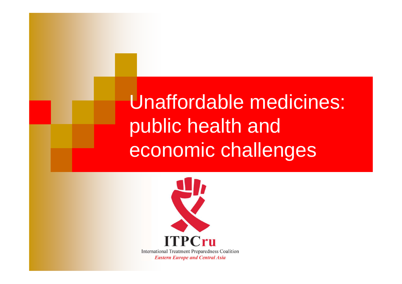Unaffordable medicines: public health and economic challenges

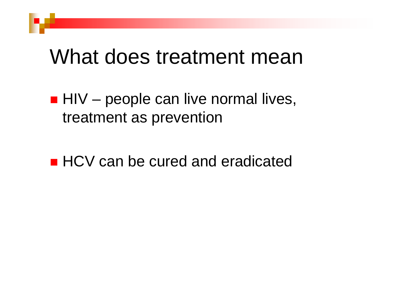#### What does treatment mean

 $\blacksquare$  HIV – people can live normal lives, treatment as prevention

**Service Service** ■ HCV can be cured and eradicated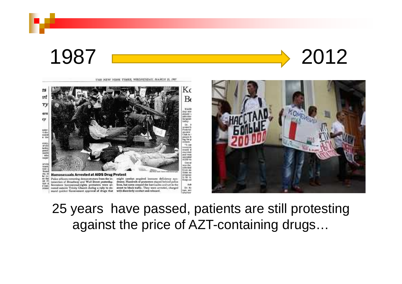

Kς es ırl  $B_0$  $T$ WASH Arty work ern nfection ey urgoso aday. Dr. 3 sented h<br>Federal ester f dis<br>rentel<br>n the **BELINGS** Club in posals fr<br>ing for p arvey,<br>of the<br>lariks,<br>pond-<br>lealth who<br>major enses. "t can troversi<br>would d married and was niended ATDS YE Cine of urvey<br>Icans<br>Ited :<br>found was the nfected fram me The New York Ton think no rey, in<br>Ne re-**Homosexuals Arrested at AIDS Drug Protest** pregnan<br>to be to Police officers removing demonstrators from the in- might combat acquired immune deficiency synas the Kogp au set 27 tersection of Broadway and Wall Street yesterday. drome. Hundreds of protesters stayed hehind police Seventeen homosexual-rights protesters were ar- lines, but some crossed the barricades and sat in the Ask I canstom! rested outside Trinity Church during a rally to de- street to block traffic. They were arrested, charged Dr. Ko **Carr, 863** mand quicker Government approval of drugs that with disorderly conduct and released. a liveland

THE NEW YORK TIMES, WEDNESDAY, MARCH 25, 1987



25 years have passed, patients are still protesting against the price of AZT-containing drugs…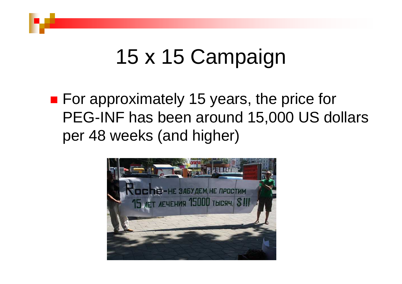# 15 x 15 Campaign

■ For approximately 15 years, the price for PEG-INF has been around 15,000 US dollars per 48 weeks (and higher)

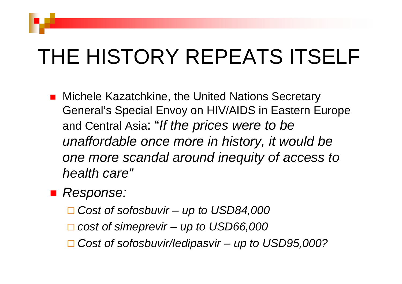## THE HISTORY REPEATS ITSELF

■ Michele Kazatchkine, the United Nations Secretary General's Special Envoy on HIV/AIDS in Eastern Europe and Central Asia: "If the prices were to be unaffordable once more in history, it would be one more scandal around inequity of access to health care"

■ Response:

- □ Cost of sofosbuvir up to USD84,000
- □ cost of simeprevir up to USD66,000
- □ Cost of sofosbuvir/ledipasvir up to USD95,000?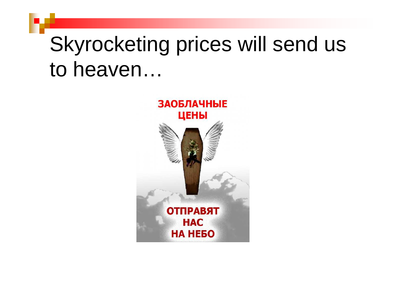## Skyrocketing prices will send us to heaven…

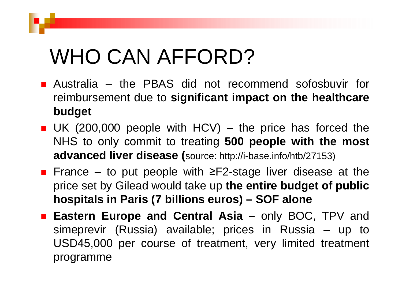## WHO CAN AFFORD?

- **Australia the PBAS did not recommend sofosbuvir for** reimbursement due to **significant impact on the healthcare budget**
- UK (200,000 people with HCV) the price has forced the NHS to only commit to treating **<sup>500</sup> people with the most advanced liver disease (**source: http://i-base.info/htb/27153)
- France to put people with ≥F2-stage liver disease at the price set by Gilead would take up **the entire budget of public hospitals in Paris (7 billions euros) – SOF alone**
- **Eastern Europe and Central Asia –** only BOC, TPV and simeprevir (Russia) available; prices in Russia – up to USD45,000 per course of treatment, very limited treatment programme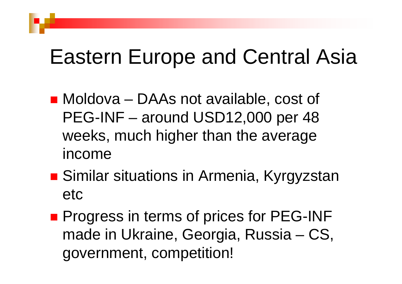### Eastern Europe and Central Asia

- Moldova DAAs not available, cost of PEG-INF – around USD12,000 per 48 weeks, much higher than the average income
- **Service Service** ■ Similar situations in Armenia, Kyrgyzstan etc
- **Service Service Progress in terms of prices for PEG-INF** made in Ukraine, Georgia, Russia – CS, government, competition!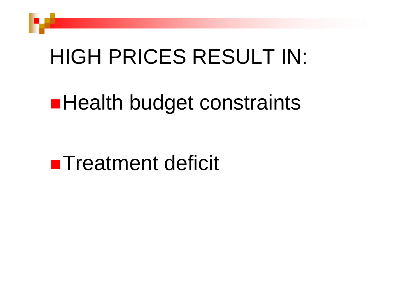### HIGH PRICES RESULT IN:

## **Health budget constraints**

#### **Treatment deficit**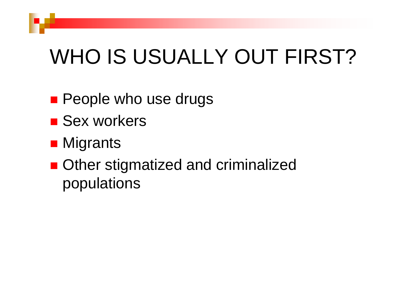## WHO IS USUALLY OUT FIRST?

- People who use drugs
- Sex workers
- Migrants
- Other stigmatized and criminalized populations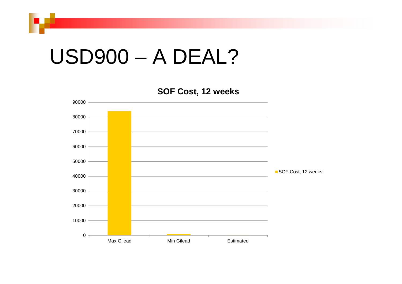#### USD900 – A DEAL?

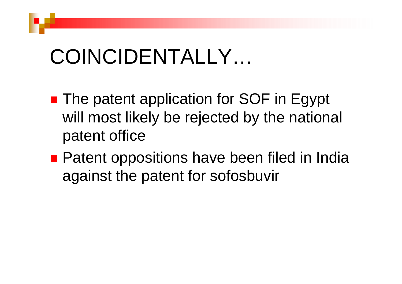## COINCIDENTALLY…

- **Service Service** ■ The patent application for SOF in Egypt will most likely be rejected by the national patent office
- **Patent oppositions have been filed in India** against the patent for sofosbuvir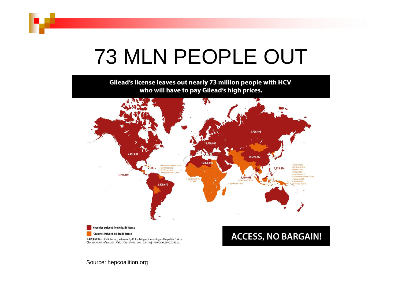## 73 MLN PEOPLE OUT

Gilead's license leaves out nearly 73 million people with HCV who will have to pay Gilead's high prices.



Source: hepcoalition.org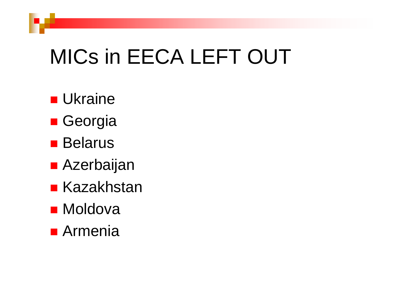## MICs in EECA LEFT OUT

- Ukraine
- **B** Georgia
- Belarus
- Azerbaijan
- Kazakhstan
- Moldova
- Armenia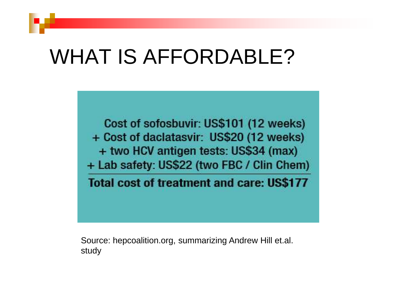## WHAT IS AFFORDABLE?

Cost of sofosbuvir: US\$101 (12 weeks) + Cost of daclatasvir: US\$20 (12 weeks) + two HCV antigen tests: US\$34 (max) + Lab safety: US\$22 (two FBC / Clin Chem)

**Total cost of treatment and care: US\$177** 

Source: hepcoalition.org, summarizing Andrew Hill et.al. study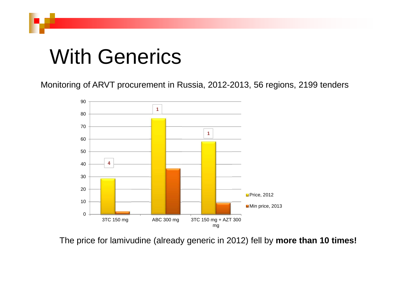## With Generics

Monitoring of ARVT procurement in Russia, 2012-2013, 56 regions, 2199 tenders



The price for lamivudine (already generic in 2012) fell by **more than 10 times!**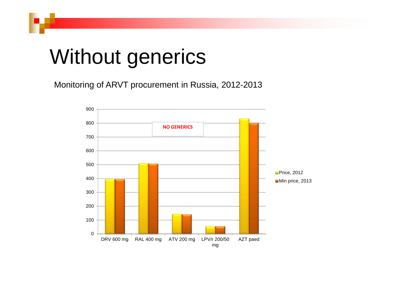### Without generics

Monitoring of ARVT procurement in Russia, 2012-2013

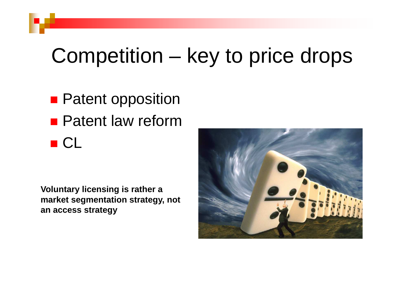## Competition – key to price drops

- **Patent opposition**
- Patent law reform ■ CL

**Service Service** 

**Voluntary licensing is rather a market segmentation strategy, not an access strategy**

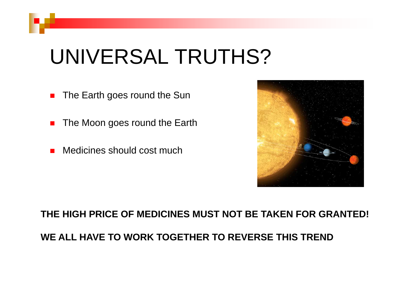## UNIVERSAL TRUTHS?

- $\blacksquare$ The Earth goes round the Sun
- $\mathcal{L}_{\mathcal{A}}$ The Moon goes round the Earth
- Medicines should cost much



**THE HIGH PRICE OF MEDICINES MUST NOT BE TAKEN FOR GRANTED!**

**WE ALL HAVE TO WORK TOGETHER TO REVERSE THIS TREND**